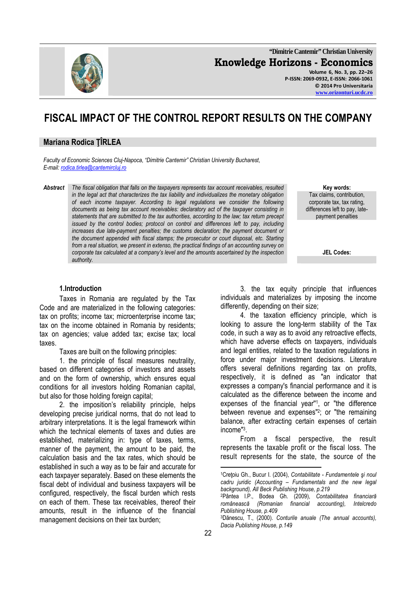

**"Dimitrie Cantemir" Christian University Knowledge Horizons - Economics Volume 6, No. 3, pp. 22–26 P-ISSN: 2069-0932, E-ISSN: 2066-1061 © 2014 Pro Universitaria www.orizonturi.ucdc.ro**

# **FISCAL IMPACT OF THE CONTROL REPORT RESULTS ON THE COMPANY**

## **Mariana Rodica ŢÎRLEA**

*Faculty of Economic Sciences Cluj-Napoca*, *"Dimitrie Cantemir" Christian University Bucharest*, *E-mail: rodica.tirlea@cantemircluj.ro*

*Abstract The fiscal obligation that falls on the taxpayers represents tax account receivables, resulted in the legal act that characterizes the tax liability and individualizes the monetary obligation of each income taxpayer. According to legal regulations we consider the following documents as being tax account receivables: declaratory act of the taxpayer consisting in statements that are submitted to the tax authorities, according to the law; tax return precept issued by the control bodies; protocol on control and differences left to pay, including increases due late-payment penalties; the customs declaration; the payment document or the document appended with fiscal stamps; the prosecutor or court disposal, etc. Starting from a real situation, we present in extenso, the practical findings of an accounting survey on corporate tax calculated at a company's level and the amounts ascertained by the inspection authority.* 

**Key words:**  Tax claims, contribution, corporate tax, tax rating, differences left to pay, latepayment penalties

**JEL Codes:**

#### **1.Introduction**

Taxes in Romania are regulated by the Tax Code and are materialized in the following categories: tax on profits; income tax; microenterprise income tax; tax on the income obtained in Romania by residents; tax on agencies; value added tax; excise tax; local taxes.

Taxes are built on the following principles:

1. the principle of fiscal measures neutrality, based on different categories of investors and assets and on the form of ownership, which ensures equal conditions for all investors holding Romanian capital, but also for those holding foreign capital;

2. the imposition's reliability principle, helps developing precise juridical norms, that do not lead to arbitrary interpretations. It is the legal framework within which the technical elements of taxes and duties are established, materializing in: type of taxes, terms, manner of the payment, the amount to be paid, the calculation basis and the tax rates, which should be established in such a way as to be fair and accurate for each taxpayer separately. Based on these elements the fiscal debt of individual and business taxpayers will be configured, respectively, the fiscal burden which rests on each of them. These tax receivables, thereof their amounts, result in the influence of the financial management decisions on their tax burden;

3. the tax equity principle that influences individuals and materializes by imposing the income differently, depending on their size;

4. the taxation efficiency principle, which is looking to assure the long-term stability of the Tax code, in such a way as to avoid any retroactive effects, which have adverse effects on taxpayers, individuals and legal entities, related to the taxation regulations in force under major investment decisions. Literature offers several definitions regarding tax on profits, respectively, it is defined as "an indicator that expresses a company's financial performance and it is calculated as the difference between the income and expenses of the financial year''<sup>1</sup> , or "the difference between revenue and expenses"<sup>2</sup> ; or "the remaining balance, after extracting certain expenses of certain income"<sup>3</sup> .

From a fiscal perspective, the result represents the taxable profit or the fiscal loss. The result represents for the state, the source of the

l

<sup>1</sup>Creţoiu Gh., Bucur I. (2004), *Contabilitate - Fundamentele şi noul cadru juridic (Accounting – Fundamentals and the new legal background), All Beck Publishing House, p.219*

<sup>2</sup>Pântea l.P., Bodea Gh. (2009), *Contabilitatea financiară*  românească (Romanian financial accounting), *Publishing House, p.409*

<sup>3</sup>Dănescu, T., (2000). *Conturile anuale (The annual accounts), Dacia Publishing House, p.149*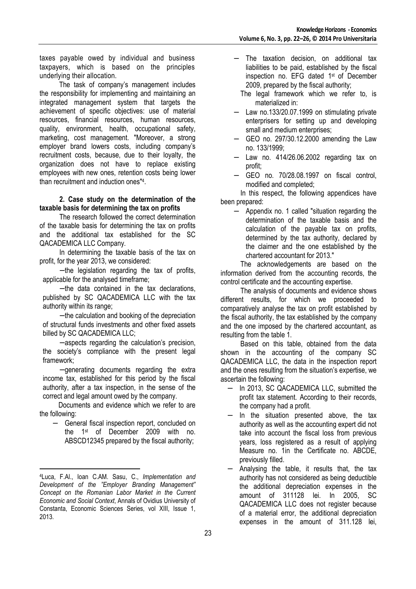taxes payable owed by individual and business taxpayers, which is based on the principles underlying their allocation.

The task of company's management includes the responsibility for implementing and maintaining an integrated management system that targets the achievement of specific objectives: use of material resources, financial resources, human resources, quality, environment, health, occupational safety, marketing, cost management. "Moreover, a strong employer brand lowers costs, including company's recruitment costs, because, due to their loyalty, the organization does not have to replace existing employees with new ones, retention costs being lower than recruitment and induction ones"<sup>4</sup> .

#### **2. Case study on the determination of the taxable basis for determining the tax on profits**

The research followed the correct determination of the taxable basis for determining the tax on profits and the additional tax established for the SC QACADEMICA LLC Company.

In determining the taxable basis of the tax on profit, for the year 2013, we considered:

− the legislation regarding the tax of profits, applicable for the analysed timeframe;

− the data contained in the tax declarations, published by SC QACADEMICA LLC with the tax authority within its range;

− the calculation and booking of the depreciation of structural funds investments and other fixed assets billed by SC QACADEMICA LLC;

− aspects regarding the calculation's precision, the society's compliance with the present legal framework;

− generating documents regarding the extra income tax, established for this period by the fiscal authority, after a tax inspection, in the sense of the correct and legal amount owed by the company.

Documents and evidence which we refer to are the following:

General fiscal inspection report, concluded on the 1st of December 2009 with no. ABSCD12345 prepared by the fiscal authority;

 $\overline{a}$ 

- The taxation decision, on additional tax liabilities to be paid, established by the fiscal inspection no. EFG dated 1st of December 2009, prepared by the fiscal authority;
- The legal framework which we refer to, is materialized in:
- − Law no.133/20.07.1999 on stimulating private enterprisers for setting up and developing small and medium enterprises;
- − GEO no. 297/30.12.2000 amending the Law no. 133/1999;
- − Law no. 414/26.06.2002 regarding tax on profit;
- − GEO no. 70/28.08.1997 on fiscal control, modified and completed;

In this respect, the following appendices have been prepared:

− Appendix no. 1 called "situation regarding the determination of the taxable basis and the calculation of the payable tax on profits, determined by the tax authority, declared by the claimer and the one established by the chartered accountant for 2013."

The acknowledgements are based on the information derived from the accounting records, the control certificate and the accounting expertise.

The analysis of documents and evidence shows different results, for which we proceeded to comparatively analyse the tax on profit established by the fiscal authority, the tax established by the company and the one imposed by the chartered accountant, as resulting from the table 1.

Based on this table, obtained from the data shown in the accounting of the company SC QACADEMICA LLC, the data in the inspection report and the ones resulting from the situation's expertise, we ascertain the following:

- − In 2013, SC QACADEMICA LLC, submitted the profit tax statement. According to their records, the company had a profit.
- In the situation presented above, the tax authority as well as the accounting expert did not take into account the fiscal loss from previous years, loss registered as a result of applying Measure no. 1in the Certificate no. ABCDE, previously filled.
- − Analysing the table, it results that, the tax authority has not considered as being deductible the additional depreciation expenses in the amount of 311128 lei. In 2005, SC QACADEMICA LLC does not register because of a material error, the additional depreciation expenses in the amount of 311.128 lei,

<sup>4</sup>Luca, F.Al., Ioan C.AM. Sasu, C., *Implementation and Development of the "Employer Branding Management" Concept on the Romanian Labor Market in the Current Economic and Social Context*, Annals of Ovidius University of Constanta, Economic Sciences Series, vol XIII, Issue 1, 2013.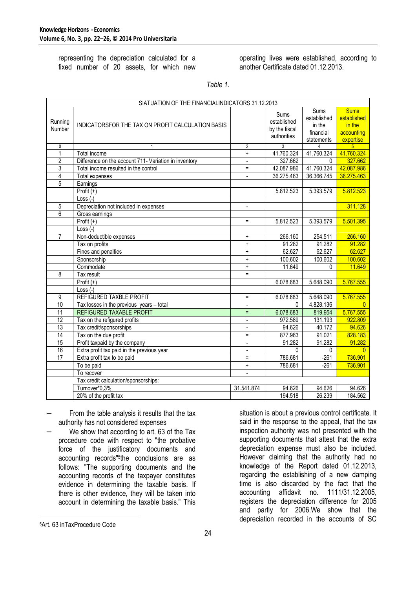representing the depreciation calculated for a fixed number of 20 assets, for which new operating lives were established, according to another Certificate dated 01.12.2013.

*Table 1.* 

| SIATUATION OF THE FINANCIALINDICATORS 31.12.2013 |                                                       |                          |                                                            |                                                                              |                                                                 |
|--------------------------------------------------|-------------------------------------------------------|--------------------------|------------------------------------------------------------|------------------------------------------------------------------------------|-----------------------------------------------------------------|
| Running<br>Number                                | INDICATORSFOR THE TAX ON PROFIT CALCULATION BASIS     |                          | <b>Sums</b><br>established<br>by the fiscal<br>authorities | $\overline{\text{Sums}}$<br>established<br>in the<br>financial<br>statements | <b>Sums</b><br>established<br>in the<br>accounting<br>expertise |
| $\mathbf 0$                                      | 1                                                     | $\overline{2}$           | $\overline{3}$                                             | 4                                                                            | $5\overline{)}$                                                 |
| $\mathbf{1}$                                     | Total income                                          | $\ddot{}$                | 41.760.324                                                 | 41.760.324                                                                   | 41.760.324                                                      |
| $\overline{2}$                                   | Difference on the account 711- Variation in inventory | $\overline{\phantom{a}}$ | 327.662                                                    | $\Omega$                                                                     | 327.662                                                         |
| 3                                                | Total income resulted in the control                  | $=$                      | 42.087.986                                                 | 41.760.324                                                                   | 42.087.986                                                      |
| $\overline{4}$                                   | <b>Total expenses</b>                                 | $\blacksquare$           | 36.275.463                                                 | 36.366.745                                                                   | 36.275.463                                                      |
| $\overline{5}$                                   | Earnings                                              |                          |                                                            |                                                                              |                                                                 |
|                                                  | $\overline{\text{Profit}}$ (+)                        |                          | 5.812.523                                                  | 5.393.579                                                                    | 5.812.523                                                       |
|                                                  | $Loss(-)$                                             |                          |                                                            |                                                                              |                                                                 |
| 5                                                | Depreciation not included in expenses                 |                          |                                                            |                                                                              | 311.128                                                         |
| 6                                                | Gross earnings                                        |                          |                                                            |                                                                              |                                                                 |
|                                                  | Profit $(+)$                                          | $\equiv$                 | 5.812.523                                                  | 5.393.579                                                                    | 5.501.395                                                       |
|                                                  | Loss $(-)$                                            |                          |                                                            |                                                                              |                                                                 |
| 7                                                | Non-deductible expenses                               | $\ddot{}$                | 266.160                                                    | 254.511                                                                      | 266.160                                                         |
|                                                  | Tax on profits                                        | $\ddot{}$                | 91.282                                                     | 91.282                                                                       | 91.282                                                          |
|                                                  | Fines and penalties                                   | $\ddot{}$                | 62.627                                                     | 62.627                                                                       | 62.627                                                          |
|                                                  | Sponsorship                                           | $\ddot{}$                | 100.602                                                    | 100.602                                                                      | 100.602                                                         |
|                                                  | Commodate                                             | $\ddot{}$                | 11.649                                                     | 0                                                                            | 11.649                                                          |
| 8                                                | Tax result                                            | $=$                      |                                                            |                                                                              |                                                                 |
|                                                  | Profit $(+)$                                          |                          | 6.078.683                                                  | 5.648.090                                                                    | 5.767.555                                                       |
|                                                  | $Loss (-)$                                            |                          |                                                            |                                                                              |                                                                 |
| 9                                                | REFIGURED TAXBLE PROFIT                               | $\equiv$                 | 6.078.683                                                  | 5.648.090                                                                    | 5.767.555                                                       |
| 10                                               | Tax losses in the previous years - total              |                          | $\Omega$                                                   | 4.828.136                                                                    | $\Omega$                                                        |
| 11                                               | REFIGURED TAXABLE PROFIT                              | Ξ                        | 6.078.683                                                  | 819.954                                                                      | 5.767.555                                                       |
| 12                                               | Tax on the refigured profits                          | $\blacksquare$           | 972.589                                                    | 131.193                                                                      | 922.809                                                         |
| 13                                               | Tax credit/sponsorships                               |                          | 94.626                                                     | 40.172                                                                       | 94.626                                                          |
| $\overline{14}$                                  | Tax on the due profit                                 | $=$                      | 877.963                                                    | 91.021                                                                       | 828.183                                                         |
| $\overline{15}$                                  | Profit taxpaid by the company                         | $\frac{1}{2}$            | 91.282                                                     | 91.282                                                                       | 91.282                                                          |
| 16                                               | Extra profit tax paid in the previous year            | $\overline{\phantom{a}}$ | $\Omega$                                                   | $\mathbf 0$                                                                  | $\overline{0}$                                                  |
| 17                                               | Extra profit tax to be paid                           | $=$                      | 786.681                                                    | $-261$                                                                       | 736.901                                                         |
|                                                  | To be paid                                            | $\ddot{}$                | 786.681                                                    | $-261$                                                                       | 736.901                                                         |
|                                                  | To recover                                            | $\blacksquare$           |                                                            |                                                                              |                                                                 |
| Tax credit calculation/sponsorships:             |                                                       |                          |                                                            |                                                                              |                                                                 |
|                                                  | Turnover*0,3%                                         | 31.541.874               | 94.626                                                     | 94.626                                                                       | 94.626                                                          |
|                                                  | 20% of the profit tax                                 |                          | 194.518                                                    | 26.239                                                                       | 184.562                                                         |

- From the table analysis it results that the tax authority has not considered expenses
- We show that according to art. 63 of the Tax procedure code with respect to "the probative force of the justificatory documents and accounting records"<sup>5</sup> the conclusions are as follows: "The supporting documents and the accounting records of the taxpayer constitutes evidence in determining the taxable basis. If there is other evidence, they will be taken into account in determining the taxable basis." This

l

situation is about a previous control certificate. It said in the response to the appeal, that the tax inspection authority was not presented with the supporting documents that attest that the extra depreciation expense must also be included. However claiming that the authority had no knowledge of the Report dated 01.12.2013, regarding the establishing of a new damping time is also discarded by the fact that the accounting affidavit no. 1111/31.12.2005, registers the depreciation difference for 2005 and partly for 2006.We show that the depreciation recorded in the accounts of SC

<sup>5</sup>Art. 63 inTaxProcedure Code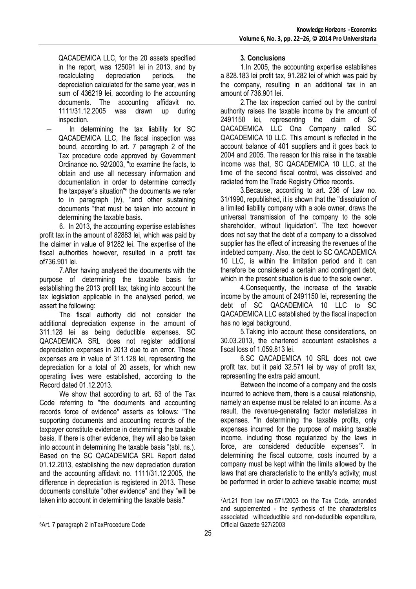QACADEMICA LLC, for the 20 assets specified in the report, was 125091 lei in 2013, and by recalculating depreciation periods, the depreciation calculated for the same year, was in sum of 436219 lei, according to the accounting documents. The accounting affidavit no. 1111/31.12.2005 was drawn up during inspection.

In determining the tax liability for SC QACADEMICA LLC, the fiscal inspection was bound, according to art. 7 paragraph 2 of the Tax procedure code approved by Government Ordinance no. 92/2003, "to examine the facts, to obtain and use all necessary information and documentation in order to determine correctly the taxpayer's situation"<sup>6</sup> the documents we refer to in paragraph (iv), "and other sustaining documents "that must be taken into account in determining the taxable basis.

6. In 2013, the accounting expertise establishes profit tax in the amount of 82883 lei, which was paid by the claimer in value of 91282 lei. The expertise of the fiscal authorities however, resulted in a profit tax of736.901 lei.

7.After having analysed the documents with the purpose of determining the taxable basis for establishing the 2013 profit tax, taking into account the tax legislation applicable in the analysed period, we assert the following:

The fiscal authority did not consider the additional depreciation expense in the amount of 311.128 lei as being deductible expenses. SC QACADEMICA SRL does not register additional depreciation expenses in 2013 due to an error. These expenses are in value of 311.128 lei, representing the depreciation for a total of 20 assets, for which new operating lives were established, according to the Record dated 01.12.2013.

We show that according to art. 63 of the Tax Code referring to "the documents and accounting records force of evidence" asserts as follows: "The supporting documents and accounting records of the taxpayer constitute evidence in determining the taxable basis. If there is other evidence, they will also be taken into account in determining the taxable basis "(sbl. ns.). Based on the SC QACADEMICA SRL Report dated 01.12.2013, establishing the new depreciation duration and the accounting affidavit no. 1111/31.12.2005, the difference in depreciation is registered in 2013. These documents constitute "other evidence" and they "will be taken into account in determining the taxable basis."

### **3. Conclusions**

1.In 2005, the accounting expertise establishes a 828.183 lei profit tax, 91.282 lei of which was paid by the company, resulting in an additional tax in an amount of 736.901 lei.

2.The tax inspection carried out by the control authority raises the taxable income by the amount of 2491150 lei, representing the claim of SC QACADEMICA LLC Ona Company called SC QACADEMICA 10 LLC. This amount is reflected in the account balance of 401 suppliers and it goes back to 2004 and 2005. The reason for this raise in the taxable income was that, SC QACADEMICA 10 LLC, at the time of the second fiscal control, was dissolved and radiated from the Trade Registry Office records.

3.Because, according to art. 236 of Law no. 31/1990, republished, it is shown that the "dissolution of a limited liability company with a sole owner, draws the universal transmission of the company to the sole shareholder, without liquidation". The text however does not say that the debt of a company to a dissolved supplier has the effect of increasing the revenues of the indebted company. Also, the debt to SC QACADEMICA 10 LLC, is within the limitation period and it can therefore be considered a certain and contingent debt, which in the present situation is due to the sole owner.

4.Consequently, the increase of the taxable income by the amount of 2491150 lei, representing the debt of SC QACADEMICA 10 LLC to SC QACADEMICA LLC established by the fiscal inspection has no legal background.

5.Taking into account these considerations, on 30.03.2013, the chartered accountant establishes a fiscal loss of 1.059.813 lei.

6.SC QACADEMICA 10 SRL does not owe profit tax, but it paid 32.571 lei by way of profit tax, representing the extra paid amount.

Between the income of a company and the costs incurred to achieve them, there is a causal relationship, namely an expense must be related to an income. As a result, the revenue-generating factor materializes in expenses. "In determining the taxable profits, only expenses incurred for the purpose of making taxable income, including those regularized by the laws in force, are considered deductible expenses"<sup>7</sup> . In determining the fiscal outcome, costs incurred by a company must be kept within the limits allowed by the laws that are characteristic to the entity's activity; must be performed in order to achieve taxable income; must

l

 $\overline{a}$ 

<sup>7</sup>Art.21 from law no.571/2003 on the Tax Code, amended and supplemented - the synthesis of the characteristics associated withdeductible and non-deductible expenditure, Official Gazette 927/2003

<sup>6</sup>Art. 7 paragraph 2 inTaxProcedure Code